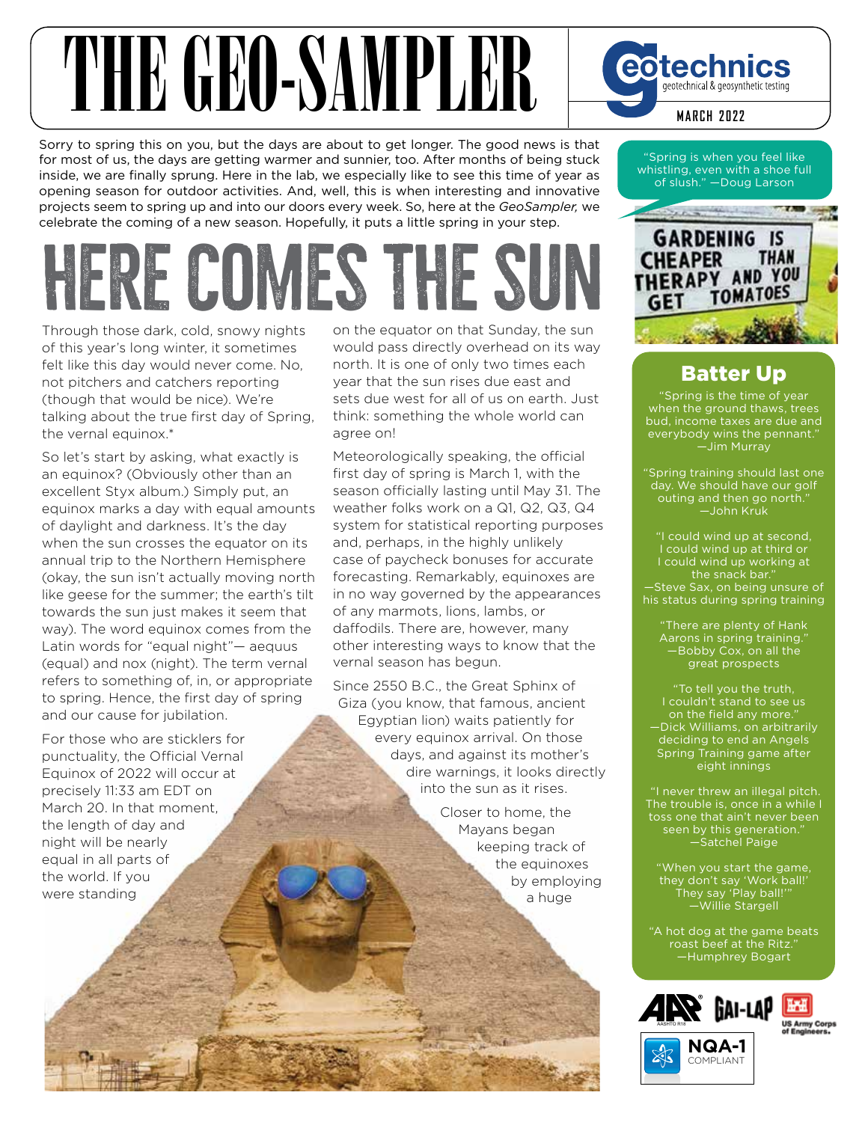## THE GEORGIAN SAMPLER Corporate Content Constructed by Georgian Reservation Content Construct 2022

Sorry to spring this on you, but the days are about to get longer. The good news is that for most of us, the days are getting warmer and sunnier, too. After months of being stuck inside, we are finally sprung. Here in the lab, we especially like to see this time of year as opening season for outdoor activities. And, well, this is when interesting and innovative projects seem to spring up and into our doors every week. So, here at the *GeoSampler,* we celebrate the coming of a new season. Hopefully, it puts a little spring in your step.

## **here comes the sun**

Through those dark, cold, snowy nights of this year's long winter, it sometimes felt like this day would never come. No, not pitchers and catchers reporting (though that would be nice). We're talking about the true first day of Spring, the vernal equinox.\*

So let's start by asking, what exactly is an equinox? (Obviously other than an excellent Styx album.) Simply put, an equinox marks a day with equal amounts of daylight and darkness. It's the day when the sun crosses the equator on its annual trip to the Northern Hemisphere (okay, the sun isn't actually moving north like geese for the summer; the earth's tilt towards the sun just makes it seem that way). The word equinox comes from the Latin words for "equal night"— aequus (equal) and nox (night). The term vernal refers to something of, in, or appropriate to spring. Hence, the first day of spring and our cause for jubilation.

For those who are sticklers for punctuality, the Official Vernal Equinox of 2022 will occur at precisely 11:33 am EDT on March 20. In that moment, the length of day and night will be nearly equal in all parts of the world. If you were standing

on the equator on that Sunday, the sun would pass directly overhead on its way north. It is one of only two times each year that the sun rises due east and sets due west for all of us on earth. Just think: something the whole world can agree on!

Meteorologically speaking, the official first day of spring is March 1, with the season officially lasting until May 31. The weather folks work on a Q1, Q2, Q3, Q4 system for statistical reporting purposes and, perhaps, in the highly unlikely case of paycheck bonuses for accurate forecasting. Remarkably, equinoxes are in no way governed by the appearances of any marmots, lions, lambs, or daffodils. There are, however, many other interesting ways to know that the vernal season has begun.

Since 2550 B.C., the Great Sphinx of Giza (you know, that famous, ancient Egyptian lion) waits patiently for every equinox arrival. On those days, and against its mother's dire warnings, it looks directly into the sun as it rises.

> Closer to home, the Mayans began keeping track of the equinoxes by employing a huge

"Spring is when you feel like whistling, even with a shoe full of slush." —Doug Larson



## Batter Up

"Spring is the time of year when the ground thaws, trees everybody wins the pennant." —Jim Murray

"Spring training should last one day. We should have our golf outing and then go north." —John Kruk

"I could wind up at second, I could wind up at third or I could wind up working at the snack bar." —Steve Sax, on being unsure of his status during spring training

"There are plenty of Hank Aarons in spring training.' —Bobby Cox, on all the great prospects

"To tell you the truth, I couldn't stand to see us on the field any more." —Dick Williams, on arbitrarily deciding to end an Angels Spring Training game after eight innings

 "I never threw an illegal pitch. The trouble is, once in a while I toss one that ain't never been seen by this generation." —Satchel Paige

"When you start the game, they don't say 'Work ball!' They say 'Play ball!'" —Willie Stargell

"A hot dog at the game beats roast beef at the Ritz. —Humphrey Bogart